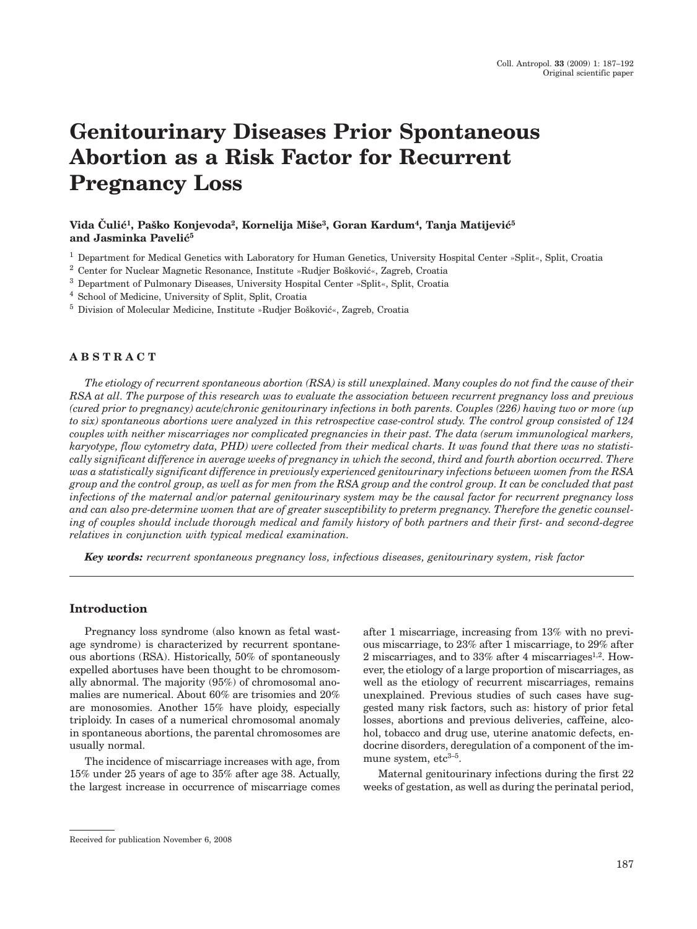# **Genitourinary Diseases Prior Spontaneous Abortion as a Risk Factor for Recurrent Pregnancy Loss**

# Vida Čulić<sup>1</sup>, Paško Konjevoda<sup>2</sup>, Kornelija Miše<sup>3</sup>, Goran Kardum<sup>4</sup>, Tanja Matijević<sup>5</sup> and Jasminka Pavelić<sup>5</sup>

<sup>1</sup> Department for Medical Genetics with Laboratory for Human Genetics, University Hospital Center »Split«, Split, Croatia

- <sup>2</sup> Center for Nuclear Magnetic Resonance, Institute »Rudjer Bošković«, Zagreb, Croatia
- <sup>3</sup> Department of Pulmonary Diseases, University Hospital Center »Split«, Split, Croatia
- <sup>4</sup> School of Medicine, University of Split, Split, Croatia
- $5$  Division of Molecular Medicine, Institute »Rudjer Bošković«, Zagreb, Croatia

# **ABSTRACT**

*The etiology of recurrent spontaneous abortion (RSA) is still unexplained. Many couples do not find the cause of their RSA at all. The purpose of this research was to evaluate the association between recurrent pregnancy loss and previous (cured prior to pregnancy) acute/chronic genitourinary infections in both parents. Couples (226) having two or more (up to six) spontaneous abortions were analyzed in this retrospective case-control study. The control group consisted of 124 couples with neither miscarriages nor complicated pregnancies in their past. The data (serum immunological markers, karyotype, flow cytometry data, PHD) were collected from their medical charts. It was found that there was no statistically significant difference in average weeks of pregnancy in which the second, third and fourth abortion occurred. There was a statistically significant difference in previously experienced genitourinary infections between women from the RSA group and the control group, as well as for men from the RSA group and the control group. It can be concluded that past infections of the maternal and/or paternal genitourinary system may be the causal factor for recurrent pregnancy loss and can also pre-determine women that are of greater susceptibility to preterm pregnancy. Therefore the genetic counseling of couples should include thorough medical and family history of both partners and their first- and second-degree relatives in conjunction with typical medical examination.*

*Key words: recurrent spontaneous pregnancy loss, infectious diseases, genitourinary system, risk factor*

#### **Introduction**

Pregnancy loss syndrome (also known as fetal wastage syndrome) is characterized by recurrent spontaneous abortions (RSA). Historically, 50% of spontaneously expelled abortuses have been thought to be chromosomally abnormal. The majority (95%) of chromosomal anomalies are numerical. About 60% are trisomies and 20% are monosomies. Another 15% have ploidy, especially triploidy. In cases of a numerical chromosomal anomaly in spontaneous abortions, the parental chromosomes are usually normal.

The incidence of miscarriage increases with age, from 15% under 25 years of age to 35% after age 38. Actually, the largest increase in occurrence of miscarriage comes after 1 miscarriage, increasing from 13% with no previous miscarriage, to 23% after 1 miscarriage, to 29% after 2 miscarriages, and to  $33\%$  after 4 miscarriages<sup>1,2</sup>. However, the etiology of a large proportion of miscarriages, as well as the etiology of recurrent miscarriages, remains unexplained. Previous studies of such cases have suggested many risk factors, such as: history of prior fetal losses, abortions and previous deliveries, caffeine, alcohol, tobacco and drug use, uterine anatomic defects, endocrine disorders, deregulation of a component of the immune system,  $etc^{3-5}$ .

Maternal genitourinary infections during the first 22 weeks of gestation, as well as during the perinatal period,

Received for publication November 6, 2008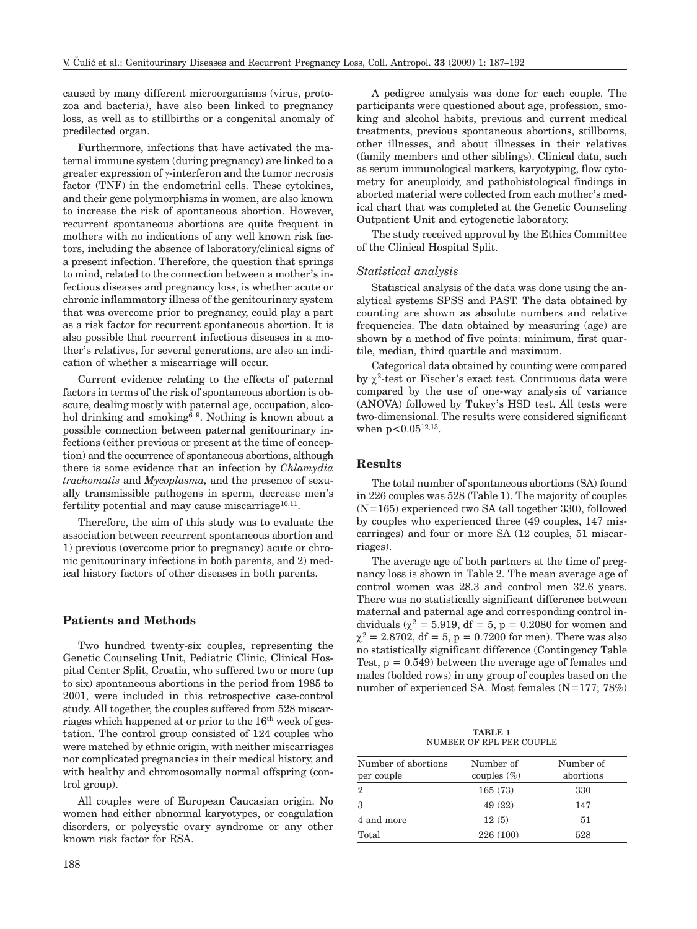caused by many different microorganisms (virus, protozoa and bacteria), have also been linked to pregnancy loss, as well as to stillbirths or a congenital anomaly of predilected organ.

Furthermore, infections that have activated the maternal immune system (during pregnancy) are linked to a greater expression of  $\gamma$ -interferon and the tumor necrosis factor (TNF) in the endometrial cells. These cytokines, and their gene polymorphisms in women, are also known to increase the risk of spontaneous abortion. However, recurrent spontaneous abortions are quite frequent in mothers with no indications of any well known risk factors, including the absence of laboratory/clinical signs of a present infection. Therefore, the question that springs to mind, related to the connection between a mother's infectious diseases and pregnancy loss, is whether acute or chronic inflammatory illness of the genitourinary system that was overcome prior to pregnancy, could play a part as a risk factor for recurrent spontaneous abortion. It is also possible that recurrent infectious diseases in a mother's relatives, for several generations, are also an indication of whether a miscarriage will occur.

Current evidence relating to the effects of paternal factors in terms of the risk of spontaneous abortion is obscure, dealing mostly with paternal age, occupation, alcohol drinking and smoking $6-9$ . Nothing is known about a possible connection between paternal genitourinary infections (either previous or present at the time of conception) and the occurrence of spontaneous abortions, although there is some evidence that an infection by *Chlamydia trachomatis* and *Mycoplasma,* and the presence of sexually transmissible pathogens in sperm, decrease men's fertility potential and may cause miscarriage $10,11$ .

Therefore, the aim of this study was to evaluate the association between recurrent spontaneous abortion and 1) previous (overcome prior to pregnancy) acute or chronic genitourinary infections in both parents, and 2) medical history factors of other diseases in both parents.

# **Patients and Methods**

Two hundred twenty-six couples, representing the Genetic Counseling Unit, Pediatric Clinic, Clinical Hospital Center Split, Croatia, who suffered two or more (up to six) spontaneous abortions in the period from 1985 to 2001, were included in this retrospective case-control study. All together, the couples suffered from 528 miscarriages which happened at or prior to the 16th week of gestation. The control group consisted of 124 couples who were matched by ethnic origin, with neither miscarriages nor complicated pregnancies in their medical history, and with healthy and chromosomally normal offspring (control group).

All couples were of European Caucasian origin. No women had either abnormal karyotypes, or coagulation disorders, or polycystic ovary syndrome or any other known risk factor for RSA.

188

A pedigree analysis was done for each couple. The participants were questioned about age, profession, smoking and alcohol habits, previous and current medical treatments, previous spontaneous abortions, stillborns, other illnesses, and about illnesses in their relatives (family members and other siblings). Clinical data, such as serum immunological markers, karyotyping, flow cytometry for aneuploidy, and pathohistological findings in aborted material were collected from each mother's medical chart that was completed at the Genetic Counseling Outpatient Unit and cytogenetic laboratory.

The study received approval by the Ethics Committee of the Clinical Hospital Split.

#### *Statistical analysis*

Statistical analysis of the data was done using the analytical systems SPSS and PAST. The data obtained by counting are shown as absolute numbers and relative frequencies. The data obtained by measuring (age) are shown by a method of five points: minimum, first quartile, median, third quartile and maximum.

Categorical data obtained by counting were compared by  $\gamma^2$ -test or Fischer's exact test. Continuous data were compared by the use of one-way analysis of variance (ANOVA) followed by Tukey's HSD test. All tests were two-dimensional. The results were considered significant when  $p < 0.05^{12,13}$ .

#### **Results**

The total number of spontaneous abortions (SA) found in 226 couples was 528 (Table 1). The majority of couples (N=165) experienced two SA (all together 330), followed by couples who experienced three (49 couples, 147 miscarriages) and four or more SA (12 couples, 51 miscarriages).

The average age of both partners at the time of pregnancy loss is shown in Table 2. The mean average age of control women was 28.3 and control men 32.6 years. There was no statistically significant difference between maternal and paternal age and corresponding control individuals ( $\chi^2 = 5.919$ , df = 5, p = 0.2080 for women and  $\chi^2 = 2.8702$ , df = 5, p = 0.7200 for men). There was also no statistically significant difference (Contingency Table Test,  $p = 0.549$  between the average age of females and males (bolded rows) in any group of couples based on the number of experienced SA. Most females (N=177; 78%)

**TABLE 1** NUMBER OF RPL PER COUPLE

| Number of abortions<br>per couple | Number of<br>couples $(\%)$ | Number of<br>abortions |
|-----------------------------------|-----------------------------|------------------------|
| $\overline{2}$                    | 165(73)                     | 330                    |
| 3                                 | 49 (22)                     | 147                    |
| 4 and more                        | 12(5)                       | 51                     |
| Total                             | 226 (100)                   | 528                    |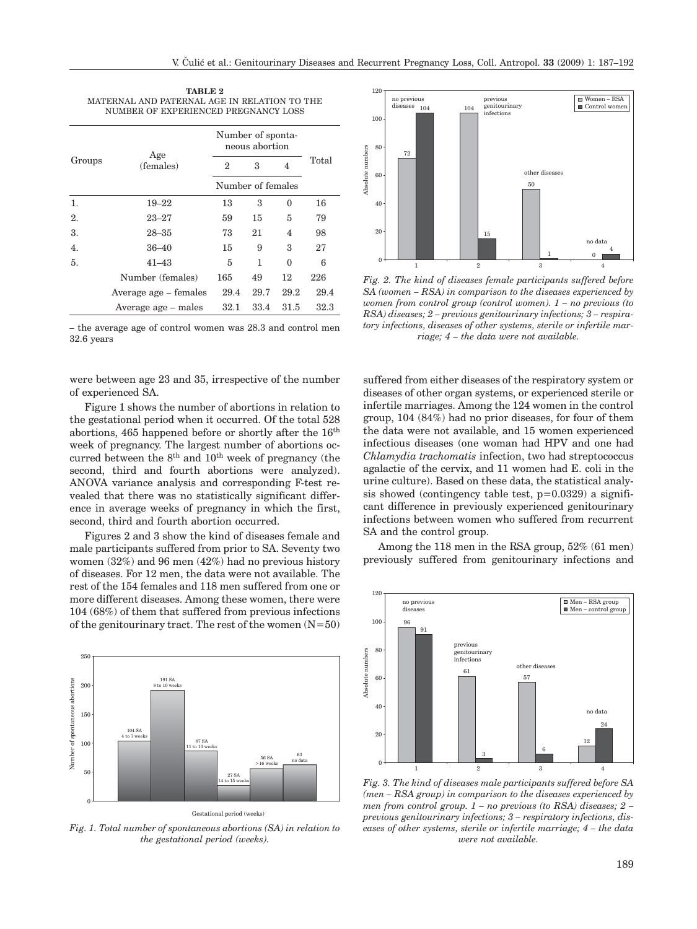| TABLE 2                                      |  |  |  |  |  |  |
|----------------------------------------------|--|--|--|--|--|--|
| MATERNAL AND PATERNAL AGE IN RELATION TO THE |  |  |  |  |  |  |
| NUMBER OF EXPERIENCED PREGNANCY LOSS         |  |  |  |  |  |  |

| Groups           | Age<br>(females)      | Number of sponta-<br>neous abortion |      |          |       |
|------------------|-----------------------|-------------------------------------|------|----------|-------|
|                  |                       | 2                                   | 3    | 4        | Total |
|                  |                       | Number of females                   |      |          |       |
| 1.               | $19 - 22$             | 13                                  | 3    | 0        | 16    |
| 2.               | $23 - 27$             | 59                                  | 15   | 5        | 79    |
| 3.               | $28 - 35$             | 73                                  | 21   | 4        | 98    |
| $\overline{4}$ . | $36 - 40$             | 15                                  | 9    | 3        | 27    |
| 5.               | $41 - 43$             | 5                                   | 1    | $\Omega$ | 6     |
|                  | Number (females)      | 165                                 | 49   | 12       | 226   |
|                  | Average age – females | 29.4                                | 29.7 | 29.2     | 29.4  |
|                  | Average age – males   | 32.1                                | 33.4 | 31.5     | 32.3  |

– the average age of control women was 28.3 and control men 32.6 years

were between age 23 and 35, irrespective of the number of experienced SA.

Figure 1 shows the number of abortions in relation to the gestational period when it occurred. Of the total 528 abortions, 465 happened before or shortly after the 16th week of pregnancy. The largest number of abortions occurred between the  $8<sup>th</sup>$  and  $10<sup>th</sup>$  week of pregnancy (the second, third and fourth abortions were analyzed). ANOVA variance analysis and corresponding F-test revealed that there was no statistically significant difference in average weeks of pregnancy in which the first, second, third and fourth abortion occurred.

Figures 2 and 3 show the kind of diseases female and male participants suffered from prior to SA. Seventy two women (32%) and 96 men (42%) had no previous history of diseases. For 12 men, the data were not available. The rest of the 154 females and 118 men suffered from one or more different diseases. Among these women, there were 104 (68%) of them that suffered from previous infections of the genitourinary tract. The rest of the women  $(N=50)$ 



*Fig. 1. Total number of spontaneous abortions (SA) in relation to the gestational period (weeks).*



*Fig. 2. The kind of diseases female participants suffered before SA (women – RSA) in comparison to the diseases experienced by women from control group (control women). 1 – no previous (to RSA) diseases; 2 – previous genitourinary infections; 3 – respiratory infections, diseases of other systems, sterile or infertile marriage; 4 – the data were not available.*

suffered from either diseases of the respiratory system or diseases of other organ systems, or experienced sterile or infertile marriages. Among the 124 women in the control group, 104 (84%) had no prior diseases, for four of them the data were not available, and 15 women experienced infectious diseases (one woman had HPV and one had *Chlamydia trachomatis* infection, two had streptococcus agalactie of the cervix, and 11 women had E. coli in the urine culture). Based on these data, the statistical analysis showed (contingency table test,  $p=0.0329$ ) a significant difference in previously experienced genitourinary infections between women who suffered from recurrent SA and the control group.

Among the 118 men in the RSA group, 52% (61 men) previously suffered from genitourinary infections and



*Fig. 3. The kind of diseases male participants suffered before SA (men – RSA group) in comparison to the diseases experienced by men from control group. 1 – no previous (to RSA) diseases; 2 – previous genitourinary infections; 3 – respiratory infections, diseases of other systems, sterile or infertile marriage; 4 – the data were not available.*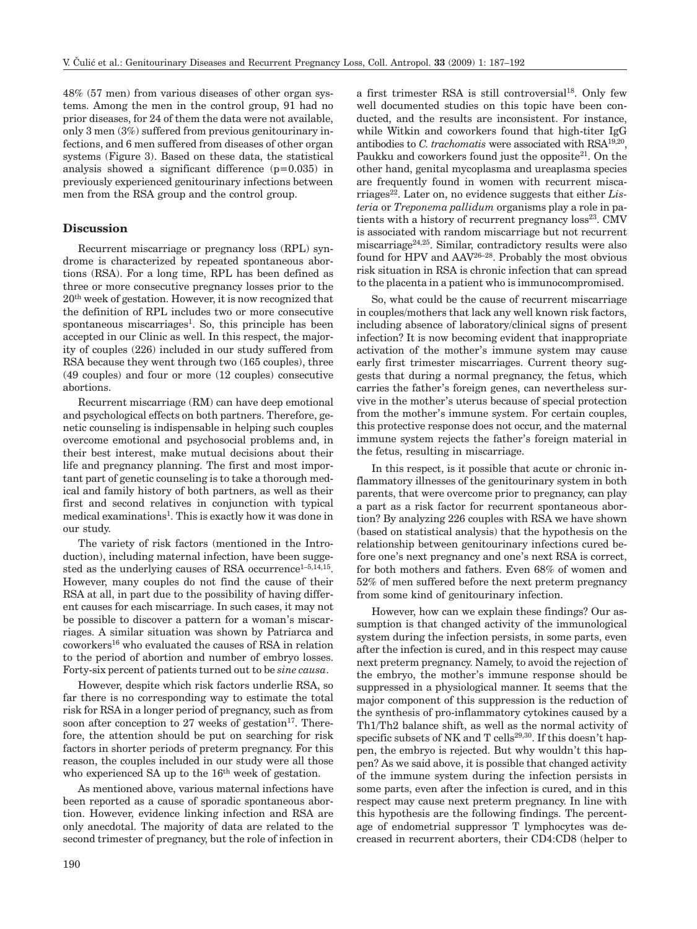48% (57 men) from various diseases of other organ systems. Among the men in the control group, 91 had no prior diseases, for 24 of them the data were not available, only 3 men (3%) suffered from previous genitourinary infections, and 6 men suffered from diseases of other organ systems (Figure 3). Based on these data, the statistical analysis showed a significant difference (p=0.035) in previously experienced genitourinary infections between men from the RSA group and the control group.

## **Discussion**

Recurrent miscarriage or pregnancy loss (RPL) syndrome is characterized by repeated spontaneous abortions (RSA). For a long time, RPL has been defined as three or more consecutive pregnancy losses prior to the 20th week of gestation. However, it is now recognized that the definition of RPL includes two or more consecutive spontaneous miscarriages<sup>1</sup>. So, this principle has been accepted in our Clinic as well. In this respect, the majority of couples (226) included in our study suffered from RSA because they went through two (165 couples), three (49 couples) and four or more (12 couples) consecutive abortions.

Recurrent miscarriage (RM) can have deep emotional and psychological effects on both partners. Therefore, genetic counseling is indispensable in helping such couples overcome emotional and psychosocial problems and, in their best interest, make mutual decisions about their life and pregnancy planning. The first and most important part of genetic counseling is to take a thorough medical and family history of both partners, as well as their first and second relatives in conjunction with typical medical examinations<sup>1</sup>. This is exactly how it was done in our study.

The variety of risk factors (mentioned in the Introduction), including maternal infection, have been suggested as the underlying causes of RSA occurrence<sup>1-5,14,15</sup>. However, many couples do not find the cause of their RSA at all, in part due to the possibility of having different causes for each miscarriage. In such cases, it may not be possible to discover a pattern for a woman's miscarriages. A similar situation was shown by Patriarca and coworkers16 who evaluated the causes of RSA in relation to the period of abortion and number of embryo losses. Forty-six percent of patients turned out to be *sine causa*.

However, despite which risk factors underlie RSA, so far there is no corresponding way to estimate the total risk for RSA in a longer period of pregnancy, such as from soon after conception to 27 weeks of gestation $17$ . Therefore, the attention should be put on searching for risk factors in shorter periods of preterm pregnancy. For this reason, the couples included in our study were all those who experienced SA up to the 16<sup>th</sup> week of gestation.

As mentioned above, various maternal infections have been reported as a cause of sporadic spontaneous abortion. However, evidence linking infection and RSA are only anecdotal. The majority of data are related to the second trimester of pregnancy, but the role of infection in a first trimester RSA is still controversial<sup>18</sup>. Only few well documented studies on this topic have been conducted, and the results are inconsistent. For instance, while Witkin and coworkers found that high-titer IgG antibodies to *C. trachomatis* were associated with RSA19,20, Paukku and coworkers found just the opposite<sup>21</sup>. On the other hand, genital mycoplasma and ureaplasma species are frequently found in women with recurrent miscarriages<sup>22</sup>. Later on, no evidence suggests that either *Listeria* or *Treponema pallidum* organisms play a role in patients with a history of recurrent pregnancy  $loss^{23}$ . CMV is associated with random miscarriage but not recurrent miscarriage24,25. Similar, contradictory results were also found for HPV and AAV26–28. Probably the most obvious risk situation in RSA is chronic infection that can spread to the placenta in a patient who is immunocompromised.

So, what could be the cause of recurrent miscarriage in couples/mothers that lack any well known risk factors, including absence of laboratory/clinical signs of present infection? It is now becoming evident that inappropriate activation of the mother's immune system may cause early first trimester miscarriages. Current theory suggests that during a normal pregnancy, the fetus, which carries the father's foreign genes, can nevertheless survive in the mother's uterus because of special protection from the mother's immune system. For certain couples, this protective response does not occur, and the maternal immune system rejects the father's foreign material in the fetus, resulting in miscarriage.

In this respect, is it possible that acute or chronic inflammatory illnesses of the genitourinary system in both parents, that were overcome prior to pregnancy, can play a part as a risk factor for recurrent spontaneous abortion? By analyzing 226 couples with RSA we have shown (based on statistical analysis) that the hypothesis on the relationship between genitourinary infections cured before one's next pregnancy and one's next RSA is correct, for both mothers and fathers. Even 68% of women and 52% of men suffered before the next preterm pregnancy from some kind of genitourinary infection.

However, how can we explain these findings? Our assumption is that changed activity of the immunological system during the infection persists, in some parts, even after the infection is cured, and in this respect may cause next preterm pregnancy. Namely, to avoid the rejection of the embryo, the mother's immune response should be suppressed in a physiological manner. It seems that the major component of this suppression is the reduction of the synthesis of pro-inflammatory cytokines caused by a Th1/Th2 balance shift, as well as the normal activity of specific subsets of NK and T cells<sup>29,30</sup>. If this doesn't happen, the embryo is rejected. But why wouldn't this happen? As we said above, it is possible that changed activity of the immune system during the infection persists in some parts, even after the infection is cured, and in this respect may cause next preterm pregnancy. In line with this hypothesis are the following findings. The percentage of endometrial suppressor T lymphocytes was decreased in recurrent aborters, their CD4:CD8 (helper to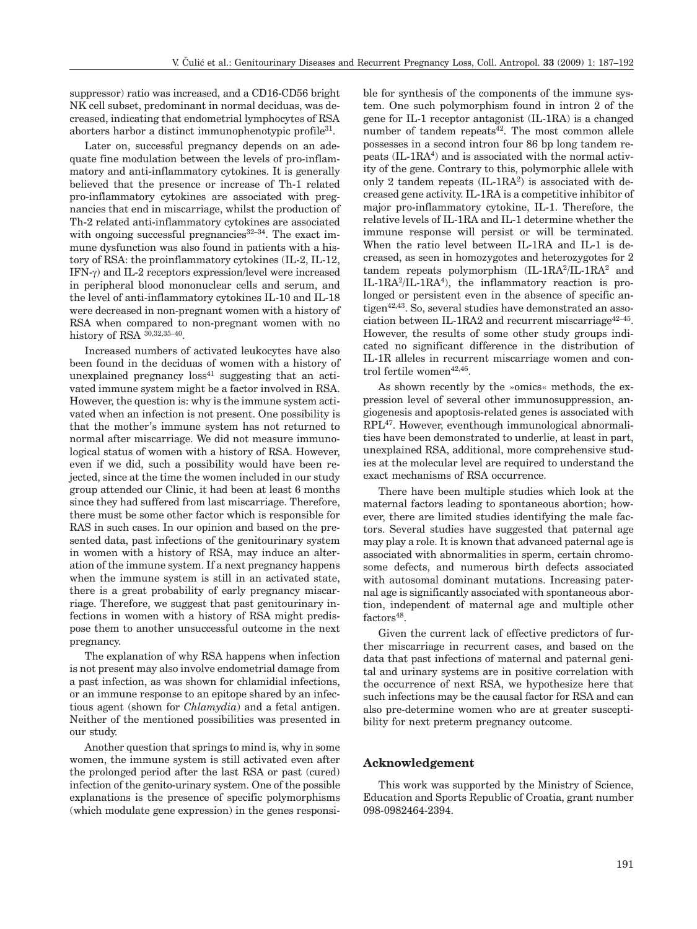suppressor) ratio was increased, and a CD16-CD56 bright NK cell subset, predominant in normal deciduas, was decreased, indicating that endometrial lymphocytes of RSA aborters harbor a distinct immunophenotypic profile<sup>31</sup>.

Later on, successful pregnancy depends on an adequate fine modulation between the levels of pro-inflammatory and anti-inflammatory cytokines. It is generally believed that the presence or increase of Th-1 related pro-inflammatory cytokines are associated with pregnancies that end in miscarriage, whilst the production of Th-2 related anti-inflammatory cytokines are associated with ongoing successful pregnancies $32-34$ . The exact immune dysfunction was also found in patients with a history of RSA: the proinflammatory cytokines (IL-2, IL-12, IFN-g) and IL-2 receptors expression/level were increased in peripheral blood mononuclear cells and serum, and the level of anti-inflammatory cytokines IL-10 and IL-18 were decreased in non-pregnant women with a history of RSA when compared to non-pregnant women with no history of RSA 30,32,35–40.

Increased numbers of activated leukocytes have also been found in the deciduas of women with a history of unexplained pregnancy  $loss<sup>41</sup>$  suggesting that an activated immune system might be a factor involved in RSA. However, the question is: why is the immune system activated when an infection is not present. One possibility is that the mother's immune system has not returned to normal after miscarriage. We did not measure immunological status of women with a history of RSA. However, even if we did, such a possibility would have been rejected, since at the time the women included in our study group attended our Clinic, it had been at least 6 months since they had suffered from last miscarriage. Therefore, there must be some other factor which is responsible for RAS in such cases. In our opinion and based on the presented data, past infections of the genitourinary system in women with a history of RSA, may induce an alteration of the immune system. If a next pregnancy happens when the immune system is still in an activated state, there is a great probability of early pregnancy miscarriage. Therefore, we suggest that past genitourinary infections in women with a history of RSA might predispose them to another unsuccessful outcome in the next pregnancy.

The explanation of why RSA happens when infection is not present may also involve endometrial damage from a past infection, as was shown for chlamidial infections, or an immune response to an epitope shared by an infectious agent (shown for *Chlamydia*) and a fetal antigen. Neither of the mentioned possibilities was presented in our study.

Another question that springs to mind is, why in some women, the immune system is still activated even after the prolonged period after the last RSA or past (cured) infection of the genito-urinary system. One of the possible explanations is the presence of specific polymorphisms (which modulate gene expression) in the genes responsible for synthesis of the components of the immune system. One such polymorphism found in intron 2 of the gene for IL-1 receptor antagonist (IL-1RA) is a changed number of tandem repeats $42$ . The most common allele possesses in a second intron four 86 bp long tandem repeats  $(IL-1RA<sup>4</sup>)$  and is associated with the normal activity of the gene. Contrary to this, polymorphic allele with only 2 tandem repeats  $(IL-1RA^2)$  is associated with decreased gene activity. IL-1RA is a competitive inhibitor of major pro-inflammatory cytokine, IL-1. Therefore, the relative levels of IL-1RA and IL-1 determine whether the immune response will persist or will be terminated. When the ratio level between IL-1RA and IL-1 is decreased, as seen in homozygotes and heterozygotes for 2 tandem repeats polymorphism  $(IL-1RA^2/IL-1RA^2)$  and IL-1RA2/IL-1RA4), the inflammatory reaction is prolonged or persistent even in the absence of specific antigen42,43. So, several studies have demonstrated an association between IL-1RA2 and recurrent miscarriage<sup>42–45</sup>. However, the results of some other study groups indicated no significant difference in the distribution of IL-1R alleles in recurrent miscarriage women and control fertile women $42,46$ .

As shown recently by the »omics« methods, the expression level of several other immunosuppression, angiogenesis and apoptosis-related genes is associated with RPL47. However, eventhough immunological abnormalities have been demonstrated to underlie, at least in part, unexplained RSA, additional, more comprehensive studies at the molecular level are required to understand the exact mechanisms of RSA occurrence.

There have been multiple studies which look at the maternal factors leading to spontaneous abortion; however, there are limited studies identifying the male factors. Several studies have suggested that paternal age may play a role. It is known that advanced paternal age is associated with abnormalities in sperm, certain chromosome defects, and numerous birth defects associated with autosomal dominant mutations. Increasing paternal age is significantly associated with spontaneous abortion, independent of maternal age and multiple other factors<sup>48</sup>.

Given the current lack of effective predictors of further miscarriage in recurrent cases, and based on the data that past infections of maternal and paternal genital and urinary systems are in positive correlation with the occurrence of next RSA, we hypothesize here that such infections may be the causal factor for RSA and can also pre-determine women who are at greater susceptibility for next preterm pregnancy outcome.

# **Acknowledgement**

This work was supported by the Ministry of Science, Education and Sports Republic of Croatia, grant number 098-0982464-2394.